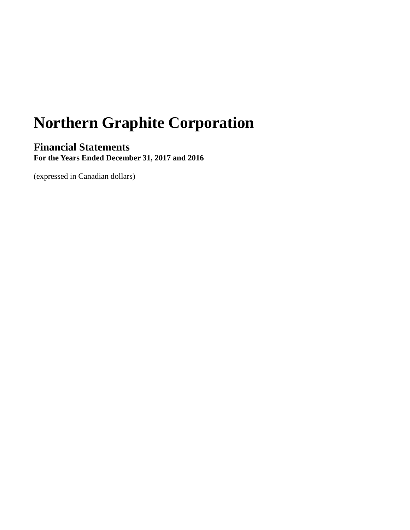# **Northern Graphite Corporation**

# **Financial Statements**

 **For the Years Ended December 31, 2017 and 2016** 

(expressed in Canadian dollars)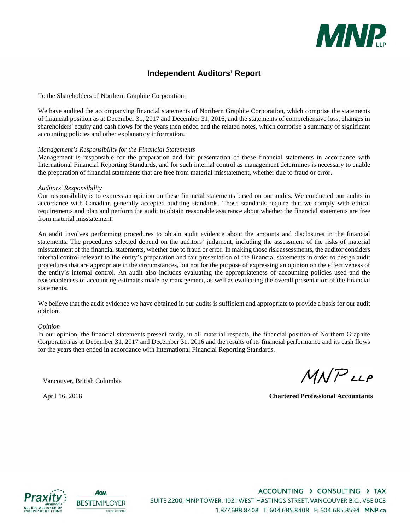

# **Independent Auditors' Report**

To the Shareholders of Northern Graphite Corporation:

We have audited the accompanying financial statements of Northern Graphite Corporation, which comprise the statements of financial position as at December 31, 2017 and December 31, 2016, and the statements of comprehensive loss, changes in shareholders' equity and cash flows for the years then ended and the related notes, which comprise a summary of significant accounting policies and other explanatory information.

#### *Management's Responsibility for the Financial Statements*

Management is responsible for the preparation and fair presentation of these financial statements in accordance with International Financial Reporting Standards, and for such internal control as management determines is necessary to enable the preparation of financial statements that are free from material misstatement, whether due to fraud or error.

#### *Auditors' Responsibility*

Our responsibility is to express an opinion on these financial statements based on our audits. We conducted our audits in accordance with Canadian generally accepted auditing standards. Those standards require that we comply with ethical requirements and plan and perform the audit to obtain reasonable assurance about whether the financial statements are free from material misstatement.

An audit involves performing procedures to obtain audit evidence about the amounts and disclosures in the financial statements. The procedures selected depend on the auditors' judgment, including the assessment of the risks of material misstatement of the financial statements, whether due to fraud or error. In making those risk assessments, the auditor considers internal control relevant to the entity's preparation and fair presentation of the financial statements in order to design audit procedures that are appropriate in the circumstances, but not for the purpose of expressing an opinion on the effectiveness of the entity's internal control. An audit also includes evaluating the appropriateness of accounting policies used and the reasonableness of accounting estimates made by management, as well as evaluating the overall presentation of the financial statements.

We believe that the audit evidence we have obtained in our audits is sufficient and appropriate to provide a basis for our audit opinion.

#### *Opinion*

In our opinion, the financial statements present fairly, in all material respects, the financial position of Northern Graphite Corporation as at December 31, 2017 and December 31, 2016 and the results of its financial performance and its cash flows for the years then ended in accordance with International Financial Reporting Standards.

Vancouver, British Columbia

 $MNP$ LLP

April 16, 2018 **Chartered Professional Accountants**





ACCOUNTING > CONSULTING > TAX SUITE 2200, MNP TOWER, 1021 WEST HASTINGS STREET, VANCOUVER B.C., V6E 0C3 1.877.688.8408 T: 604.685.8408 F: 604.685.8594 MNP.ca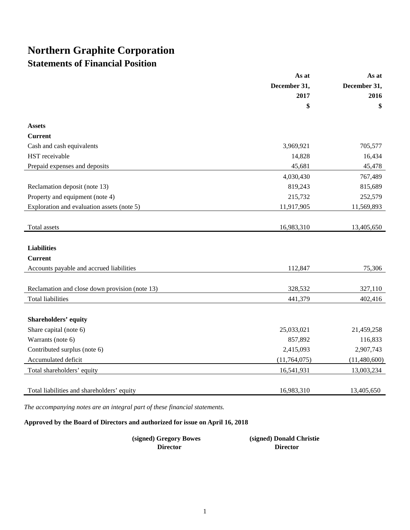# **Northern Graphite Corporation Statements of Financial Position**

|                                                | As at          | As at        |  |
|------------------------------------------------|----------------|--------------|--|
|                                                | December 31,   | December 31, |  |
|                                                | 2017           | 2016         |  |
|                                                | \$             | \$           |  |
| <b>Assets</b>                                  |                |              |  |
| <b>Current</b>                                 |                |              |  |
| Cash and cash equivalents                      | 3,969,921      | 705,577      |  |
| HST receivable                                 | 14,828         | 16,434       |  |
| Prepaid expenses and deposits                  | 45,681         | 45,478       |  |
|                                                | 4,030,430      | 767,489      |  |
| Reclamation deposit (note 13)                  | 819,243        | 815,689      |  |
| Property and equipment (note 4)                | 215,732        | 252,579      |  |
| Exploration and evaluation assets (note 5)     | 11,917,905     | 11,569,893   |  |
|                                                |                |              |  |
| Total assets                                   | 16,983,310     | 13,405,650   |  |
|                                                |                |              |  |
| <b>Liabilities</b>                             |                |              |  |
| <b>Current</b>                                 |                |              |  |
| Accounts payable and accrued liabilities       | 112,847        | 75,306       |  |
|                                                |                |              |  |
| Reclamation and close down provision (note 13) | 328,532        | 327,110      |  |
| <b>Total liabilities</b>                       | 441,379        | 402,416      |  |
|                                                |                |              |  |
| <b>Shareholders' equity</b>                    |                |              |  |
| Share capital (note 6)                         | 25,033,021     | 21,459,258   |  |
| Warrants (note 6)                              | 857,892        | 116,833      |  |
| Contributed surplus (note 6)                   | 2,415,093      | 2,907,743    |  |
| Accumulated deficit                            | (11, 764, 075) | (11,480,600) |  |
| Total shareholders' equity                     | 16,541,931     | 13,003,234   |  |
|                                                |                |              |  |
| Total liabilities and shareholders' equity     | 16,983,310     | 13,405,650   |  |

*The accompanying notes are an integral part of these financial statements.* 

# **Approved by the Board of Directors and authorized for issue on April 16, 2018**

| (signed) Gregory Bowes | (signed) Donald Christie |
|------------------------|--------------------------|
| <b>Director</b>        | <b>Director</b>          |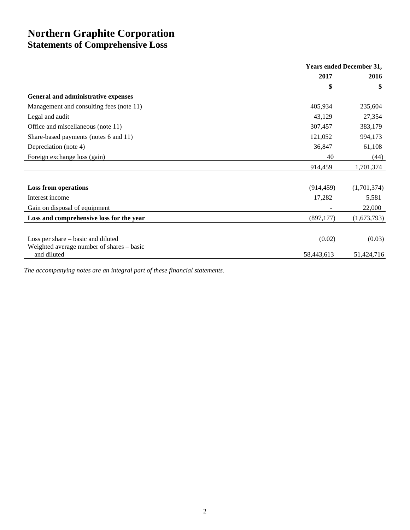# **Northern Graphite Corporation Statements of Comprehensive Loss**

|                                           | <b>Years ended December 31,</b> |             |
|-------------------------------------------|---------------------------------|-------------|
|                                           | 2017                            | 2016        |
|                                           | \$                              | \$          |
| General and administrative expenses       |                                 |             |
| Management and consulting fees (note 11)  | 405,934                         | 235,604     |
| Legal and audit                           | 43,129                          | 27,354      |
| Office and miscellaneous (note 11)        | 307,457                         | 383,179     |
| Share-based payments (notes 6 and 11)     | 121,052                         | 994,173     |
| Depreciation (note 4)                     | 36,847                          | 61,108      |
| Foreign exchange loss (gain)              | 40                              | (44)        |
|                                           | 914,459                         | 1,701,374   |
|                                           |                                 |             |
| <b>Loss from operations</b>               | (914, 459)                      | (1,701,374) |
| Interest income                           | 17,282                          | 5,581       |
| Gain on disposal of equipment             |                                 | 22,000      |
| Loss and comprehensive loss for the year  | (897, 177)                      | (1,673,793) |
|                                           |                                 |             |
| Loss per share – basic and diluted        | (0.02)                          | (0.03)      |
| Weighted average number of shares – basic |                                 |             |
| and diluted                               | 58,443,613                      | 51,424,716  |

*The accompanying notes are an integral part of these financial statements.*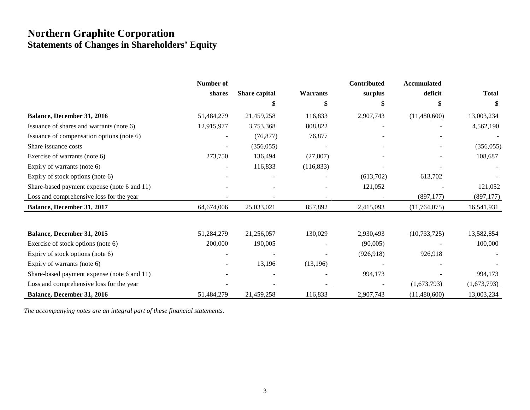# **Northern Graphite Corporation Statements of Changes in Shareholders' Equity**

|                                             | Number of  |               |                          | Contributed | <b>Accumulated</b> |              |
|---------------------------------------------|------------|---------------|--------------------------|-------------|--------------------|--------------|
|                                             | shares     | Share capital | <b>Warrants</b>          | surplus     | deficit            | <b>Total</b> |
|                                             |            | \$            | \$                       | \$          | \$                 | \$           |
| Balance, December 31, 2016                  | 51,484,279 | 21,459,258    | 116,833                  | 2,907,743   | (11,480,600)       | 13,003,234   |
| Issuance of shares and warrants (note 6)    | 12,915,977 | 3,753,368     | 808,822                  |             |                    | 4,562,190    |
| Issuance of compensation options (note 6)   |            | (76, 877)     | 76,877                   |             |                    |              |
| Share issuance costs                        |            | (356, 055)    |                          |             |                    | (356, 055)   |
| Exercise of warrants (note 6)               | 273,750    | 136,494       | (27, 807)                |             |                    | 108,687      |
| Expiry of warrants (note 6)                 |            | 116,833       | (116, 833)               |             |                    |              |
| Expiry of stock options (note 6)            |            |               |                          | (613,702)   | 613,702            |              |
| Share-based payment expense (note 6 and 11) |            |               |                          | 121,052     |                    | 121,052      |
| Loss and comprehensive loss for the year    |            |               |                          |             | (897, 177)         | (897, 177)   |
| Balance, December 31, 2017                  | 64,674,006 | 25,033,021    | 857,892                  | 2,415,093   | (11,764,075)       | 16,541,931   |
|                                             |            |               |                          |             |                    |              |
| Balance, December 31, 2015                  | 51,284,279 | 21,256,057    | 130,029                  | 2,930,493   | (10, 733, 725)     | 13,582,854   |
| Exercise of stock options (note 6)          | 200,000    | 190,005       | $\overline{\phantom{a}}$ | (90,005)    |                    | 100,000      |
| Expiry of stock options (note 6)            |            |               |                          | (926, 918)  | 926,918            |              |
| Expiry of warrants (note 6)                 |            | 13,196        | (13, 196)                |             |                    |              |
| Share-based payment expense (note 6 and 11) |            |               |                          | 994,173     |                    | 994,173      |
| Loss and comprehensive loss for the year    |            |               |                          |             | (1,673,793)        | (1,673,793)  |
| Balance, December 31, 2016                  | 51,484,279 | 21,459,258    | 116,833                  | 2,907,743   | (11,480,600)       | 13,003,234   |

*The accompanying notes are an integral part of these financial statements.*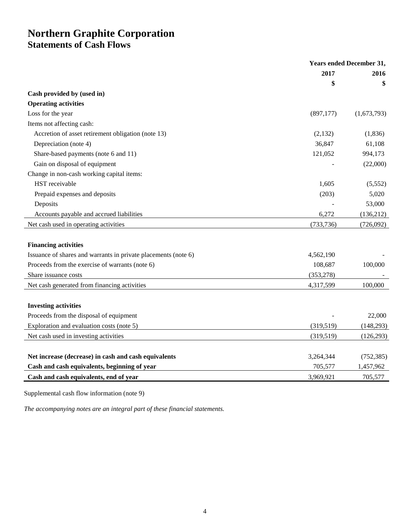# **Northern Graphite Corporation Statements of Cash Flows**

| 2017<br>2016<br>\$<br>\$<br>Cash provided by (used in)<br><b>Operating activities</b><br>Loss for the year<br>(897, 177)<br>(1,673,793)<br>Items not affecting cash:<br>Accretion of asset retirement obligation (note 13)<br>(1, 836)<br>(2,132)<br>Depreciation (note 4)<br>36,847<br>61,108<br>Share-based payments (note 6 and 11)<br>121,052<br>994,173<br>Gain on disposal of equipment<br>(22,000)<br>Change in non-cash working capital items:<br>HST receivable<br>1,605<br>(5,552)<br>5,020<br>Prepaid expenses and deposits<br>(203)<br>Deposits<br>53,000<br>Accounts payable and accrued liabilities<br>6,272<br>(136,212)<br>Net cash used in operating activities<br>(733, 736)<br>(726,092)<br><b>Financing activities</b><br>Issuance of shares and warrants in private placements (note 6)<br>4,562,190<br>Proceeds from the exercise of warrants (note 6)<br>108,687<br>100,000<br>Share issuance costs<br>(353, 278)<br>Net cash generated from financing activities<br>4,317,599<br>100,000<br><b>Investing activities</b><br>Proceeds from the disposal of equipment<br>22,000<br>Exploration and evaluation costs (note 5)<br>(319, 519)<br>Net cash used in investing activities<br>(319, 519)<br>(126, 293)<br>Net increase (decrease) in cash and cash equivalents<br>3,264,344<br>(752, 385)<br>Cash and cash equivalents, beginning of year<br>705,577<br>1,457,962<br>Cash and cash equivalents, end of year<br>3,969,921<br>705,577 | <b>Years ended December 31,</b> |  |
|-------------------------------------------------------------------------------------------------------------------------------------------------------------------------------------------------------------------------------------------------------------------------------------------------------------------------------------------------------------------------------------------------------------------------------------------------------------------------------------------------------------------------------------------------------------------------------------------------------------------------------------------------------------------------------------------------------------------------------------------------------------------------------------------------------------------------------------------------------------------------------------------------------------------------------------------------------------------------------------------------------------------------------------------------------------------------------------------------------------------------------------------------------------------------------------------------------------------------------------------------------------------------------------------------------------------------------------------------------------------------------------------------------------------------------------------------------------------|---------------------------------|--|
|                                                                                                                                                                                                                                                                                                                                                                                                                                                                                                                                                                                                                                                                                                                                                                                                                                                                                                                                                                                                                                                                                                                                                                                                                                                                                                                                                                                                                                                                   |                                 |  |
|                                                                                                                                                                                                                                                                                                                                                                                                                                                                                                                                                                                                                                                                                                                                                                                                                                                                                                                                                                                                                                                                                                                                                                                                                                                                                                                                                                                                                                                                   |                                 |  |
| (148, 293)                                                                                                                                                                                                                                                                                                                                                                                                                                                                                                                                                                                                                                                                                                                                                                                                                                                                                                                                                                                                                                                                                                                                                                                                                                                                                                                                                                                                                                                        |                                 |  |
|                                                                                                                                                                                                                                                                                                                                                                                                                                                                                                                                                                                                                                                                                                                                                                                                                                                                                                                                                                                                                                                                                                                                                                                                                                                                                                                                                                                                                                                                   |                                 |  |
|                                                                                                                                                                                                                                                                                                                                                                                                                                                                                                                                                                                                                                                                                                                                                                                                                                                                                                                                                                                                                                                                                                                                                                                                                                                                                                                                                                                                                                                                   |                                 |  |
|                                                                                                                                                                                                                                                                                                                                                                                                                                                                                                                                                                                                                                                                                                                                                                                                                                                                                                                                                                                                                                                                                                                                                                                                                                                                                                                                                                                                                                                                   |                                 |  |
|                                                                                                                                                                                                                                                                                                                                                                                                                                                                                                                                                                                                                                                                                                                                                                                                                                                                                                                                                                                                                                                                                                                                                                                                                                                                                                                                                                                                                                                                   |                                 |  |
|                                                                                                                                                                                                                                                                                                                                                                                                                                                                                                                                                                                                                                                                                                                                                                                                                                                                                                                                                                                                                                                                                                                                                                                                                                                                                                                                                                                                                                                                   |                                 |  |
|                                                                                                                                                                                                                                                                                                                                                                                                                                                                                                                                                                                                                                                                                                                                                                                                                                                                                                                                                                                                                                                                                                                                                                                                                                                                                                                                                                                                                                                                   |                                 |  |
|                                                                                                                                                                                                                                                                                                                                                                                                                                                                                                                                                                                                                                                                                                                                                                                                                                                                                                                                                                                                                                                                                                                                                                                                                                                                                                                                                                                                                                                                   |                                 |  |
|                                                                                                                                                                                                                                                                                                                                                                                                                                                                                                                                                                                                                                                                                                                                                                                                                                                                                                                                                                                                                                                                                                                                                                                                                                                                                                                                                                                                                                                                   |                                 |  |
|                                                                                                                                                                                                                                                                                                                                                                                                                                                                                                                                                                                                                                                                                                                                                                                                                                                                                                                                                                                                                                                                                                                                                                                                                                                                                                                                                                                                                                                                   |                                 |  |
|                                                                                                                                                                                                                                                                                                                                                                                                                                                                                                                                                                                                                                                                                                                                                                                                                                                                                                                                                                                                                                                                                                                                                                                                                                                                                                                                                                                                                                                                   |                                 |  |
|                                                                                                                                                                                                                                                                                                                                                                                                                                                                                                                                                                                                                                                                                                                                                                                                                                                                                                                                                                                                                                                                                                                                                                                                                                                                                                                                                                                                                                                                   |                                 |  |
|                                                                                                                                                                                                                                                                                                                                                                                                                                                                                                                                                                                                                                                                                                                                                                                                                                                                                                                                                                                                                                                                                                                                                                                                                                                                                                                                                                                                                                                                   |                                 |  |
|                                                                                                                                                                                                                                                                                                                                                                                                                                                                                                                                                                                                                                                                                                                                                                                                                                                                                                                                                                                                                                                                                                                                                                                                                                                                                                                                                                                                                                                                   |                                 |  |
|                                                                                                                                                                                                                                                                                                                                                                                                                                                                                                                                                                                                                                                                                                                                                                                                                                                                                                                                                                                                                                                                                                                                                                                                                                                                                                                                                                                                                                                                   |                                 |  |
|                                                                                                                                                                                                                                                                                                                                                                                                                                                                                                                                                                                                                                                                                                                                                                                                                                                                                                                                                                                                                                                                                                                                                                                                                                                                                                                                                                                                                                                                   |                                 |  |
|                                                                                                                                                                                                                                                                                                                                                                                                                                                                                                                                                                                                                                                                                                                                                                                                                                                                                                                                                                                                                                                                                                                                                                                                                                                                                                                                                                                                                                                                   |                                 |  |
|                                                                                                                                                                                                                                                                                                                                                                                                                                                                                                                                                                                                                                                                                                                                                                                                                                                                                                                                                                                                                                                                                                                                                                                                                                                                                                                                                                                                                                                                   |                                 |  |
|                                                                                                                                                                                                                                                                                                                                                                                                                                                                                                                                                                                                                                                                                                                                                                                                                                                                                                                                                                                                                                                                                                                                                                                                                                                                                                                                                                                                                                                                   |                                 |  |
|                                                                                                                                                                                                                                                                                                                                                                                                                                                                                                                                                                                                                                                                                                                                                                                                                                                                                                                                                                                                                                                                                                                                                                                                                                                                                                                                                                                                                                                                   |                                 |  |
|                                                                                                                                                                                                                                                                                                                                                                                                                                                                                                                                                                                                                                                                                                                                                                                                                                                                                                                                                                                                                                                                                                                                                                                                                                                                                                                                                                                                                                                                   |                                 |  |
|                                                                                                                                                                                                                                                                                                                                                                                                                                                                                                                                                                                                                                                                                                                                                                                                                                                                                                                                                                                                                                                                                                                                                                                                                                                                                                                                                                                                                                                                   |                                 |  |
|                                                                                                                                                                                                                                                                                                                                                                                                                                                                                                                                                                                                                                                                                                                                                                                                                                                                                                                                                                                                                                                                                                                                                                                                                                                                                                                                                                                                                                                                   |                                 |  |
|                                                                                                                                                                                                                                                                                                                                                                                                                                                                                                                                                                                                                                                                                                                                                                                                                                                                                                                                                                                                                                                                                                                                                                                                                                                                                                                                                                                                                                                                   |                                 |  |
|                                                                                                                                                                                                                                                                                                                                                                                                                                                                                                                                                                                                                                                                                                                                                                                                                                                                                                                                                                                                                                                                                                                                                                                                                                                                                                                                                                                                                                                                   |                                 |  |
|                                                                                                                                                                                                                                                                                                                                                                                                                                                                                                                                                                                                                                                                                                                                                                                                                                                                                                                                                                                                                                                                                                                                                                                                                                                                                                                                                                                                                                                                   |                                 |  |
|                                                                                                                                                                                                                                                                                                                                                                                                                                                                                                                                                                                                                                                                                                                                                                                                                                                                                                                                                                                                                                                                                                                                                                                                                                                                                                                                                                                                                                                                   |                                 |  |
|                                                                                                                                                                                                                                                                                                                                                                                                                                                                                                                                                                                                                                                                                                                                                                                                                                                                                                                                                                                                                                                                                                                                                                                                                                                                                                                                                                                                                                                                   |                                 |  |
|                                                                                                                                                                                                                                                                                                                                                                                                                                                                                                                                                                                                                                                                                                                                                                                                                                                                                                                                                                                                                                                                                                                                                                                                                                                                                                                                                                                                                                                                   |                                 |  |

Supplemental cash flow information (note 9)

*The accompanying notes are an integral part of these financial statements.*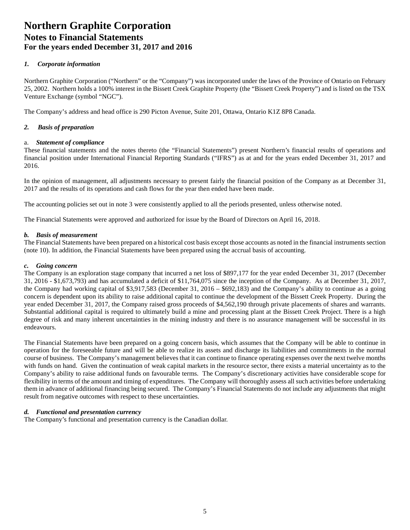# *1. Corporate information*

Northern Graphite Corporation ("Northern" or the "Company") was incorporated under the laws of the Province of Ontario on February 25, 2002. Northern holds a 100% interest in the Bissett Creek Graphite Property (the "Bissett Creek Property") and is listed on the TSX Venture Exchange (symbol "NGC").

The Company's address and head office is 290 Picton Avenue, Suite 201, Ottawa, Ontario K1Z 8P8 Canada.

# *2. Basis of preparation*

### a. *Statement of compliance*

These financial statements and the notes thereto (the "Financial Statements") present Northern's financial results of operations and financial position under International Financial Reporting Standards ("IFRS") as at and for the years ended December 31, 2017 and 2016.

In the opinion of management, all adjustments necessary to present fairly the financial position of the Company as at December 31, 2017 and the results of its operations and cash flows for the year then ended have been made.

The accounting policies set out in note 3 were consistently applied to all the periods presented, unless otherwise noted.

The Financial Statements were approved and authorized for issue by the Board of Directors on April 16, 2018.

### *b. Basis of measurement*

The Financial Statements have been prepared on a historical cost basis except those accounts as noted in the financial instruments section (note 10). In addition, the Financial Statements have been prepared using the accrual basis of accounting.

#### *c. Going concern*

The Company is an exploration stage company that incurred a net loss of \$897,177 for the year ended December 31, 2017 (December 31, 2016 - \$1,673,793) and has accumulated a deficit of \$11,764,075 since the inception of the Company. As at December 31, 2017, the Company had working capital of \$3,917,583 (December 31, 2016 – \$692,183) and the Company's ability to continue as a going concern is dependent upon its ability to raise additional capital to continue the development of the Bissett Creek Property. During the year ended December 31, 2017, the Company raised gross proceeds of \$4,562,190 through private placements of shares and warrants. Substantial additional capital is required to ultimately build a mine and processing plant at the Bissett Creek Project. There is a high degree of risk and many inherent uncertainties in the mining industry and there is no assurance management will be successful in its endeavours.

The Financial Statements have been prepared on a going concern basis, which assumes that the Company will be able to continue in operation for the foreseeable future and will be able to realize its assets and discharge its liabilities and commitments in the normal course of business. The Company's management believes that it can continue to finance operating expenses over the next twelve months with funds on hand. Given the continuation of weak capital markets in the resource sector, there exists a material uncertainty as to the Company's ability to raise additional funds on favourable terms. The Company's discretionary activities have considerable scope for flexibility in terms of the amount and timing of expenditures. The Company will thoroughly assess all such activities before undertaking them in advance of additional financing being secured. The Company's Financial Statements do not include any adjustments that might result from negative outcomes with respect to these uncertainties.

## *d. Functional and presentation currency*

The Company's functional and presentation currency is the Canadian dollar.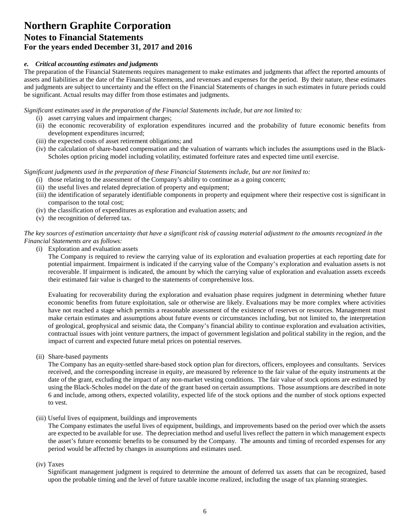# *e. Critical accounting estimates and judgments*

The preparation of the Financial Statements requires management to make estimates and judgments that affect the reported amounts of assets and liabilities at the date of the Financial Statements, and revenues and expenses for the period. By their nature, these estimates and judgments are subject to uncertainty and the effect on the Financial Statements of changes in such estimates in future periods could be significant. Actual results may differ from those estimates and judgments.

*Significant estimates used in the preparation of the Financial Statements include, but are not limited to:* 

- (i) asset carrying values and impairment charges;
- (ii) the economic recoverability of exploration expenditures incurred and the probability of future economic benefits from development expenditures incurred;
- (iii) the expected costs of asset retirement obligations; and
- (iv) the calculation of share-based compensation and the valuation of warrants which includes the assumptions used in the Black-Scholes option pricing model including volatility, estimated forfeiture rates and expected time until exercise.

*Significant judgments used in the preparation of these Financial Statements include, but are not limited to:* 

- (i) those relating to the assessment of the Company's ability to continue as a going concern;
- (ii) the useful lives and related depreciation of property and equipment;
- (iii) the identification of separately identifiable components in property and equipment where their respective cost is significant in comparison to the total cost;
- (iv) the classification of expenditures as exploration and evaluation assets; and
- (v) the recognition of deferred tax.

*The key sources of estimation uncertainty that have a significant risk of causing material adjustment to the amounts recognized in the Financial Statements are as follows:* 

(i) Exploration and evaluation assets

The Company is required to review the carrying value of its exploration and evaluation properties at each reporting date for potential impairment. Impairment is indicated if the carrying value of the Company's exploration and evaluation assets is not recoverable. If impairment is indicated, the amount by which the carrying value of exploration and evaluation assets exceeds their estimated fair value is charged to the statements of comprehensive loss.

Evaluating for recoverability during the exploration and evaluation phase requires judgment in determining whether future economic benefits from future exploitation, sale or otherwise are likely. Evaluations may be more complex where activities have not reached a stage which permits a reasonable assessment of the existence of reserves or resources. Management must make certain estimates and assumptions about future events or circumstances including, but not limited to, the interpretation of geological, geophysical and seismic data, the Company's financial ability to continue exploration and evaluation activities, contractual issues with joint venture partners, the impact of government legislation and political stability in the region, and the impact of current and expected future metal prices on potential reserves.

(ii) Share-based payments

The Company has an equity-settled share-based stock option plan for directors, officers, employees and consultants. Services received, and the corresponding increase in equity, are measured by reference to the fair value of the equity instruments at the date of the grant, excluding the impact of any non-market vesting conditions. The fair value of stock options are estimated by using the Black-Scholes model on the date of the grant based on certain assumptions. Those assumptions are described in note 6 and include, among others, expected volatility, expected life of the stock options and the number of stock options expected to vest.

## (iii) Useful lives of equipment, buildings and improvements

The Company estimates the useful lives of equipment, buildings, and improvements based on the period over which the assets are expected to be available for use. The depreciation method and useful lives reflect the pattern in which management expects the asset's future economic benefits to be consumed by the Company. The amounts and timing of recorded expenses for any period would be affected by changes in assumptions and estimates used.

(iv) Taxes

Significant management judgment is required to determine the amount of deferred tax assets that can be recognized, based upon the probable timing and the level of future taxable income realized, including the usage of tax planning strategies.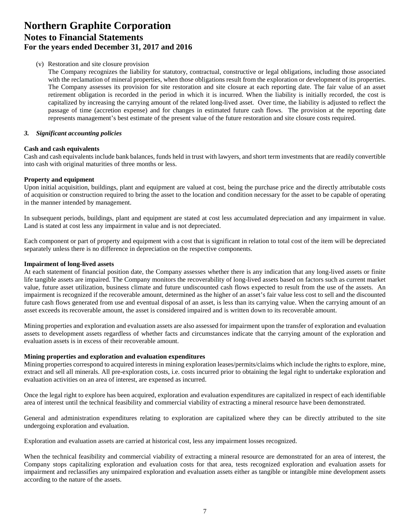(v) Restoration and site closure provision

The Company recognizes the liability for statutory, contractual, constructive or legal obligations, including those associated with the reclamation of mineral properties, when those obligations result from the exploration or development of its properties. The Company assesses its provision for site restoration and site closure at each reporting date. The fair value of an asset retirement obligation is recorded in the period in which it is incurred. When the liability is initially recorded, the cost is capitalized by increasing the carrying amount of the related long-lived asset. Over time, the liability is adjusted to reflect the passage of time (accretion expense) and for changes in estimated future cash flows. The provision at the reporting date represents management's best estimate of the present value of the future restoration and site closure costs required.

### *3. Significant accounting policies*

#### **Cash and cash equivalents**

Cash and cash equivalents include bank balances, funds held in trust with lawyers, and short term investments that are readily convertible into cash with original maturities of three months or less.

### **Property and equipment**

Upon initial acquisition, buildings, plant and equipment are valued at cost, being the purchase price and the directly attributable costs of acquisition or construction required to bring the asset to the location and condition necessary for the asset to be capable of operating in the manner intended by management.

In subsequent periods, buildings, plant and equipment are stated at cost less accumulated depreciation and any impairment in value. Land is stated at cost less any impairment in value and is not depreciated.

Each component or part of property and equipment with a cost that is significant in relation to total cost of the item will be depreciated separately unless there is no difference in depreciation on the respective components.

#### **Impairment of long-lived assets**

At each statement of financial position date, the Company assesses whether there is any indication that any long-lived assets or finite life tangible assets are impaired. The Company monitors the recoverability of long-lived assets based on factors such as current market value, future asset utilization, business climate and future undiscounted cash flows expected to result from the use of the assets. An impairment is recognized if the recoverable amount, determined as the higher of an asset's fair value less cost to sell and the discounted future cash flows generated from use and eventual disposal of an asset, is less than its carrying value. When the carrying amount of an asset exceeds its recoverable amount, the asset is considered impaired and is written down to its recoverable amount.

Mining properties and exploration and evaluation assets are also assessed for impairment upon the transfer of exploration and evaluation assets to development assets regardless of whether facts and circumstances indicate that the carrying amount of the exploration and evaluation assets is in excess of their recoverable amount.

#### **Mining properties and exploration and evaluation expenditures**

Mining properties correspond to acquired interests in mining exploration leases/permits/claims which include the rights to explore, mine, extract and sell all minerals. All pre-exploration costs, i.e. costs incurred prior to obtaining the legal right to undertake exploration and evaluation activities on an area of interest, are expensed as incurred.

Once the legal right to explore has been acquired, exploration and evaluation expenditures are capitalized in respect of each identifiable area of interest until the technical feasibility and commercial viability of extracting a mineral resource have been demonstrated.

General and administration expenditures relating to exploration are capitalized where they can be directly attributed to the site undergoing exploration and evaluation.

Exploration and evaluation assets are carried at historical cost, less any impairment losses recognized.

When the technical feasibility and commercial viability of extracting a mineral resource are demonstrated for an area of interest, the Company stops capitalizing exploration and evaluation costs for that area, tests recognized exploration and evaluation assets for impairment and reclassifies any unimpaired exploration and evaluation assets either as tangible or intangible mine development assets according to the nature of the assets.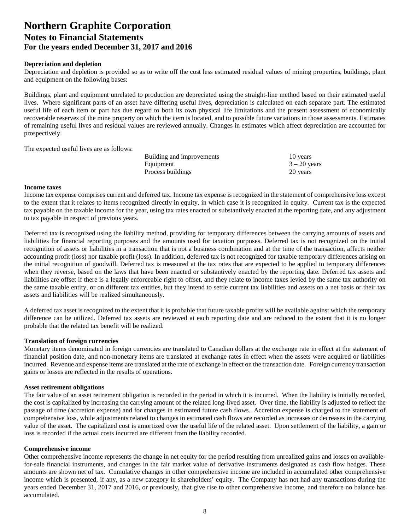### **Depreciation and depletion**

Depreciation and depletion is provided so as to write off the cost less estimated residual values of mining properties, buildings, plant and equipment on the following bases:

Buildings, plant and equipment unrelated to production are depreciated using the straight-line method based on their estimated useful lives. Where significant parts of an asset have differing useful lives, depreciation is calculated on each separate part. The estimated useful life of each item or part has due regard to both its own physical life limitations and the present assessment of economically recoverable reserves of the mine property on which the item is located, and to possible future variations in those assessments. Estimates of remaining useful lives and residual values are reviewed annually. Changes in estimates which affect depreciation are accounted for prospectively.

The expected useful lives are as follows:

| Building and improvements | 10 years       |
|---------------------------|----------------|
| Equipment                 | $3 - 20$ years |
| Process buildings         | 20 years       |

#### **Income taxes**

Income tax expense comprises current and deferred tax. Income tax expense is recognized in the statement of comprehensive loss except to the extent that it relates to items recognized directly in equity, in which case it is recognized in equity. Current tax is the expected tax payable on the taxable income for the year, using tax rates enacted or substantively enacted at the reporting date, and any adjustment to tax payable in respect of previous years.

Deferred tax is recognized using the liability method, providing for temporary differences between the carrying amounts of assets and liabilities for financial reporting purposes and the amounts used for taxation purposes. Deferred tax is not recognized on the initial recognition of assets or liabilities in a transaction that is not a business combination and at the time of the transaction, affects neither accounting profit (loss) nor taxable profit (loss). In addition, deferred tax is not recognized for taxable temporary differences arising on the initial recognition of goodwill. Deferred tax is measured at the tax rates that are expected to be applied to temporary differences when they reverse, based on the laws that have been enacted or substantively enacted by the reporting date. Deferred tax assets and liabilities are offset if there is a legally enforceable right to offset, and they relate to income taxes levied by the same tax authority on the same taxable entity, or on different tax entities, but they intend to settle current tax liabilities and assets on a net basis or their tax assets and liabilities will be realized simultaneously.

A deferred tax asset is recognized to the extent that it is probable that future taxable profits will be available against which the temporary difference can be utilized. Deferred tax assets are reviewed at each reporting date and are reduced to the extent that it is no longer probable that the related tax benefit will be realized.

#### **Translation of foreign currencies**

Monetary items denominated in foreign currencies are translated to Canadian dollars at the exchange rate in effect at the statement of financial position date, and non-monetary items are translated at exchange rates in effect when the assets were acquired or liabilities incurred. Revenue and expense items are translated at the rate of exchange in effect on the transaction date. Foreign currency transaction gains or losses are reflected in the results of operations.

#### **Asset retirement obligations**

The fair value of an asset retirement obligation is recorded in the period in which it is incurred. When the liability is initially recorded, the cost is capitalized by increasing the carrying amount of the related long-lived asset. Over time, the liability is adjusted to reflect the passage of time (accretion expense) and for changes in estimated future cash flows. Accretion expense is charged to the statement of comprehensive loss, while adjustments related to changes in estimated cash flows are recorded as increases or decreases in the carrying value of the asset. The capitalized cost is amortized over the useful life of the related asset. Upon settlement of the liability, a gain or loss is recorded if the actual costs incurred are different from the liability recorded.

#### **Comprehensive income**

Other comprehensive income represents the change in net equity for the period resulting from unrealized gains and losses on availablefor-sale financial instruments, and changes in the fair market value of derivative instruments designated as cash flow hedges. These amounts are shown net of tax. Cumulative changes in other comprehensive income are included in accumulated other comprehensive income which is presented, if any, as a new category in shareholders' equity. The Company has not had any transactions during the years ended December 31, 2017 and 2016, or previously, that give rise to other comprehensive income, and therefore no balance has accumulated.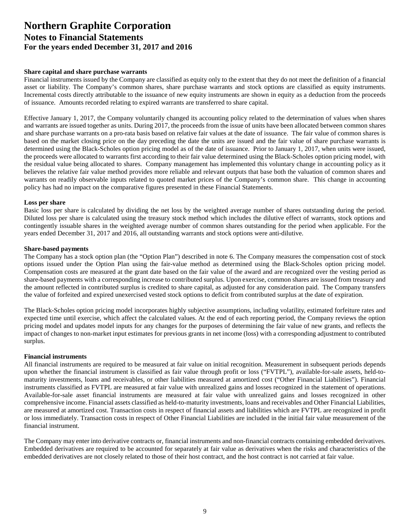### **Share capital and share purchase warrants**

Financial instruments issued by the Company are classified as equity only to the extent that they do not meet the definition of a financial asset or liability. The Company's common shares, share purchase warrants and stock options are classified as equity instruments. Incremental costs directly attributable to the issuance of new equity instruments are shown in equity as a deduction from the proceeds of issuance. Amounts recorded relating to expired warrants are transferred to share capital.

Effective January 1, 2017, the Company voluntarily changed its accounting policy related to the determination of values when shares and warrants are issued together as units. During 2017, the proceeds from the issue of units have been allocated between common shares and share purchase warrants on a pro-rata basis based on relative fair values at the date of issuance. The fair value of common shares is based on the market closing price on the day preceding the date the units are issued and the fair value of share purchase warrants is determined using the Black-Scholes option pricing model as of the date of issuance. Prior to January 1, 2017, when units were issued, the proceeds were allocated to warrants first according to their fair value determined using the Black-Scholes option pricing model, with the residual value being allocated to shares. Company management has implemented this voluntary change in accounting policy as it believes the relative fair value method provides more reliable and relevant outputs that base both the valuation of common shares and warrants on readily observable inputs related to quoted market prices of the Company's common share. This change in accounting policy has had no impact on the comparative figures presented in these Financial Statements.

#### **Loss per share**

Basic loss per share is calculated by dividing the net loss by the weighted average number of shares outstanding during the period. Diluted loss per share is calculated using the treasury stock method which includes the dilutive effect of warrants, stock options and contingently issuable shares in the weighted average number of common shares outstanding for the period when applicable. For the years ended December 31, 2017 and 2016, all outstanding warrants and stock options were anti-dilutive.

#### **Share-based payments**

The Company has a stock option plan (the "Option Plan") described in note 6. The Company measures the compensation cost of stock options issued under the Option Plan using the fair-value method as determined using the Black-Scholes option pricing model. Compensation costs are measured at the grant date based on the fair value of the award and are recognized over the vesting period as share-based payments with a corresponding increase to contributed surplus. Upon exercise, common shares are issued from treasury and the amount reflected in contributed surplus is credited to share capital, as adjusted for any consideration paid. The Company transfers the value of forfeited and expired unexercised vested stock options to deficit from contributed surplus at the date of expiration.

The Black-Scholes option pricing model incorporates highly subjective assumptions, including volatility, estimated forfeiture rates and expected time until exercise, which affect the calculated values. At the end of each reporting period, the Company reviews the option pricing model and updates model inputs for any changes for the purposes of determining the fair value of new grants, and reflects the impact of changes to non-market input estimates for previous grants in net income (loss) with a corresponding adjustment to contributed surplus.

#### **Financial instruments**

All financial instruments are required to be measured at fair value on initial recognition. Measurement in subsequent periods depends upon whether the financial instrument is classified as fair value through profit or loss ("FVTPL"), available-for-sale assets, held-tomaturity investments, loans and receivables, or other liabilities measured at amortized cost ("Other Financial Liabilities"). Financial instruments classified as FVTPL are measured at fair value with unrealized gains and losses recognized in the statement of operations. Available-for-sale asset financial instruments are measured at fair value with unrealized gains and losses recognized in other comprehensive income. Financial assets classified as held-to-maturity investments, loans and receivables and Other Financial Liabilities, are measured at amortized cost. Transaction costs in respect of financial assets and liabilities which are FVTPL are recognized in profit or loss immediately. Transaction costs in respect of Other Financial Liabilities are included in the initial fair value measurement of the financial instrument.

The Company may enter into derivative contracts or, financial instruments and non-financial contracts containing embedded derivatives. Embedded derivatives are required to be accounted for separately at fair value as derivatives when the risks and characteristics of the embedded derivatives are not closely related to those of their host contract, and the host contract is not carried at fair value.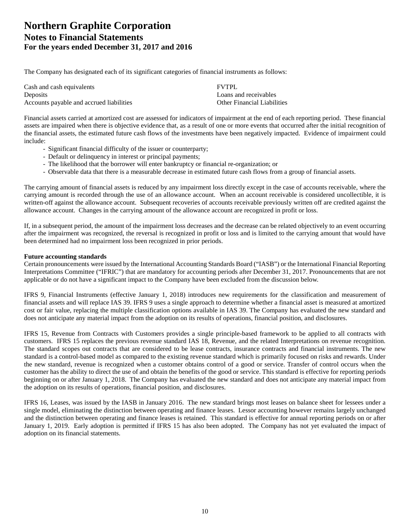The Company has designated each of its significant categories of financial instruments as follows:

| Cash and cash equivalents                | <b>FVTPL</b>                       |
|------------------------------------------|------------------------------------|
| <b>Deposits</b>                          | Loans and receivables              |
| Accounts payable and accrued liabilities | <b>Other Financial Liabilities</b> |

Financial assets carried at amortized cost are assessed for indicators of impairment at the end of each reporting period. These financial assets are impaired when there is objective evidence that, as a result of one or more events that occurred after the initial recognition of the financial assets, the estimated future cash flows of the investments have been negatively impacted. Evidence of impairment could include:

- Significant financial difficulty of the issuer or counterparty;
- Default or delinquency in interest or principal payments;
- The likelihood that the borrower will enter bankruptcy or financial re-organization; or
- Observable data that there is a measurable decrease in estimated future cash flows from a group of financial assets.

The carrying amount of financial assets is reduced by any impairment loss directly except in the case of accounts receivable, where the carrying amount is recorded through the use of an allowance account. When an account receivable is considered uncollectible, it is written-off against the allowance account. Subsequent recoveries of accounts receivable previously written off are credited against the allowance account. Changes in the carrying amount of the allowance account are recognized in profit or loss.

If, in a subsequent period, the amount of the impairment loss decreases and the decrease can be related objectively to an event occurring after the impairment was recognized, the reversal is recognized in profit or loss and is limited to the carrying amount that would have been determined had no impairment loss been recognized in prior periods.

### **Future accounting standards**

Certain pronouncements were issued by the International Accounting Standards Board ("IASB") or the International Financial Reporting Interpretations Committee ("IFRIC") that are mandatory for accounting periods after December 31, 2017. Pronouncements that are not applicable or do not have a significant impact to the Company have been excluded from the discussion below.

IFRS 9, Financial Instruments (effective January 1, 2018) introduces new requirements for the classification and measurement of financial assets and will replace IAS 39. IFRS 9 uses a single approach to determine whether a financial asset is measured at amortized cost or fair value, replacing the multiple classification options available in IAS 39. The Company has evaluated the new standard and does not anticipate any material impact from the adoption on its results of operations, financial position, and disclosures.

IFRS 15, Revenue from Contracts with Customers provides a single principle-based framework to be applied to all contracts with customers. IFRS 15 replaces the previous revenue standard IAS 18, Revenue, and the related Interpretations on revenue recognition. The standard scopes out contracts that are considered to be lease contracts, insurance contracts and financial instruments. The new standard is a control-based model as compared to the existing revenue standard which is primarily focused on risks and rewards. Under the new standard, revenue is recognized when a customer obtains control of a good or service. Transfer of control occurs when the customer has the ability to direct the use of and obtain the benefits of the good or service. This standard is effective for reporting periods beginning on or after January 1, 2018. The Company has evaluated the new standard and does not anticipate any material impact from the adoption on its results of operations, financial position, and disclosures.

IFRS 16, Leases, was issued by the IASB in January 2016. The new standard brings most leases on balance sheet for lessees under a single model, eliminating the distinction between operating and finance leases. Lessor accounting however remains largely unchanged and the distinction between operating and finance leases is retained. This standard is effective for annual reporting periods on or after January 1, 2019. Early adoption is permitted if IFRS 15 has also been adopted. The Company has not yet evaluated the impact of adoption on its financial statements.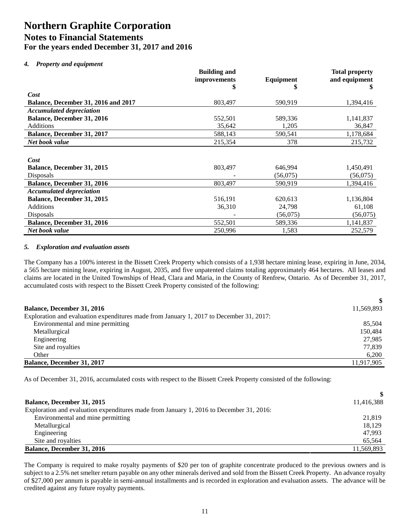# **Northern Graphite Corporation Notes to Financial Statements**

**For the years ended December 31, 2017 and 2016** 

# *4. Property and equipment*

|                                            | <b>Building and</b> |                | <b>Total property</b> |
|--------------------------------------------|---------------------|----------------|-----------------------|
|                                            | improvements<br>\$  | Equipment<br>D | and equipment<br>\$   |
| Cost                                       |                     |                |                       |
| <b>Balance, December 31, 2016 and 2017</b> | 803,497             | 590,919        | 1,394,416             |
| <b>Accumulated depreciation</b>            |                     |                |                       |
| Balance, December 31, 2016                 | 552,501             | 589,336        | 1,141,837             |
| <b>Additions</b>                           | 35,642              | 1,205          | 36,847                |
| Balance, December 31, 2017                 | 588,143             | 590,541        | 1,178,684             |
| Net book value                             | 215,354             | 378            | 215,732               |
|                                            |                     |                |                       |
| Cost                                       |                     |                |                       |
| <b>Balance, December 31, 2015</b>          | 803,497             | 646,994        | 1,450,491             |
| <b>Disposals</b>                           |                     | (56,075)       | (56,075)              |
| <b>Balance, December 31, 2016</b>          | 803,497             | 590,919        | 1,394,416             |
| <b>Accumulated depreciation</b>            |                     |                |                       |
| Balance, December 31, 2015                 | 516,191             | 620,613        | 1,136,804             |
| <b>Additions</b>                           | 36,310              | 24,798         | 61,108                |
| Disposals                                  |                     | (56,075)       | (56,075)              |
| Balance, December 31, 2016                 | 552,501             | 589,336        | 1,141,837             |
| Net book value                             | 250,996             | 1,583          | 252,579               |

# *5. Exploration and evaluation assets*

The Company has a 100% interest in the Bissett Creek Property which consists of a 1,938 hectare mining lease, expiring in June, 2034, a 565 hectare mining lease, expiring in August, 2035, and five unpatented claims totaling approximately 464 hectares. All leases and claims are located in the United Townships of Head, Clara and Maria, in the County of Renfrew, Ontario. As of December 31, 2017, accumulated costs with respect to the Bissett Creek Property consisted of the following:

| <b>Balance, December 31, 2016</b>                                                       | 11,569,893 |
|-----------------------------------------------------------------------------------------|------------|
| Exploration and evaluation expenditures made from January 1, 2017 to December 31, 2017: |            |
| Environmental and mine permitting                                                       | 85,504     |
| Metallurgical                                                                           | 150,484    |
| Engineering                                                                             | 27,985     |
| Site and royalties                                                                      | 77.839     |
| Other                                                                                   | 6,200      |
| <b>Balance, December 31, 2017</b>                                                       | 11.917.905 |

As of December 31, 2016, accumulated costs with respect to the Bissett Creek Property consisted of the following:

| Balance, December 31, 2015                                                              | 11,416,388 |
|-----------------------------------------------------------------------------------------|------------|
| Exploration and evaluation expenditures made from January 1, 2016 to December 31, 2016: |            |
| Environmental and mine permitting                                                       | 21.819     |
| Metallurgical                                                                           | 18,129     |
| Engineering                                                                             | 47,993     |
| Site and royalties                                                                      | 65,564     |
| <b>Balance, December 31, 2016</b>                                                       | 11,569,893 |

The Company is required to make royalty payments of \$20 per ton of graphite concentrate produced to the previous owners and is subject to a 2.5% net smelter return payable on any other minerals derived and sold from the Bissett Creek Property. An advance royalty of \$27,000 per annum is payable in semi-annual installments and is recorded in exploration and evaluation assets. The advance will be credited against any future royalty payments.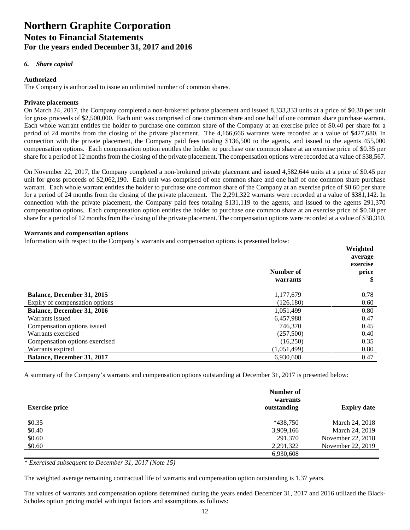# *6. Share capital*

## **Authorized**

The Company is authorized to issue an unlimited number of common shares.

# **Private placements**

On March 24, 2017, the Company completed a non-brokered private placement and issued 8,333,333 units at a price of \$0.30 per unit for gross proceeds of \$2,500,000. Each unit was comprised of one common share and one half of one common share purchase warrant. Each whole warrant entitles the holder to purchase one common share of the Company at an exercise price of \$0.40 per share for a period of 24 months from the closing of the private placement. The 4,166,666 warrants were recorded at a value of \$427,680. In connection with the private placement, the Company paid fees totaling \$136,500 to the agents, and issued to the agents 455,000 compensation options. Each compensation option entitles the holder to purchase one common share at an exercise price of \$0.35 per share for a period of 12 months from the closing of the private placement. The compensation options were recorded at a value of \$38,567.

On November 22, 2017, the Company completed a non-brokered private placement and issued 4,582,644 units at a price of \$0.45 per unit for gross proceeds of \$2,062,190. Each unit was comprised of one common share and one half of one common share purchase warrant. Each whole warrant entitles the holder to purchase one common share of the Company at an exercise price of \$0.60 per share for a period of 24 months from the closing of the private placement. The 2,291,322 warrants were recorded at a value of \$381,142. In connection with the private placement, the Company paid fees totaling \$131,119 to the agents, and issued to the agents 291,370 compensation options. Each compensation option entitles the holder to purchase one common share at an exercise price of \$0.60 per share for a period of 12 months from the closing of the private placement. The compensation options were recorded at a value of \$38,310.

## **Warrants and compensation options**

Information with respect to the Company's warrants and compensation options is presented below:

|                                   |             | Weighted |
|-----------------------------------|-------------|----------|
|                                   |             | average  |
|                                   |             | exercise |
|                                   | Number of   | price    |
|                                   | warrants    | S        |
| Balance, December 31, 2015        | 1,177,679   | 0.78     |
| Expiry of compensation options    | (126, 180)  | 0.60     |
| <b>Balance, December 31, 2016</b> | 1,051,499   | 0.80     |
| Warrants issued                   | 6,457,988   | 0.47     |
| Compensation options issued       | 746,370     | 0.45     |
| Warrants exercised                | (257,500)   | 0.40     |
| Compensation options exercised    | (16,250)    | 0.35     |
| Warrants expired                  | (1,051,499) | 0.80     |
| <b>Balance, December 31, 2017</b> | 6,930,608   | 0.47     |

A summary of the Company's warrants and compensation options outstanding at December 31, 2017 is presented below:

|                       | Number of<br>warrants |                    |
|-----------------------|-----------------------|--------------------|
| <b>Exercise price</b> | outstanding           | <b>Expiry date</b> |
| \$0.35                | $*438.750$            | March 24, 2018     |
| \$0.40                | 3,909,166             | March 24, 2019     |
| \$0.60                | 291,370               | November 22, 2018  |
| \$0.60                | 2,291,322             | November 22, 2019  |
|                       | 6,930,608             |                    |

*\* Exercised subsequent to December 31, 2017 (Note 15)* 

The weighted average remaining contractual life of warrants and compensation option outstanding is 1.37 years.

The values of warrants and compensation options determined during the years ended December 31, 2017 and 2016 utilized the Black-Scholes option pricing model with input factors and assumptions as follows: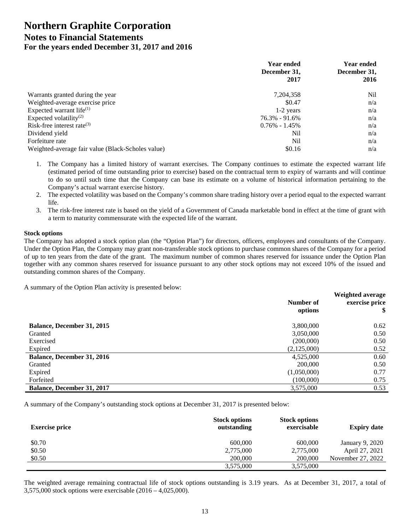|                                                   | <b>Year ended</b><br>December 31,<br>2017 | Year ended<br>December 31,<br>2016 |
|---------------------------------------------------|-------------------------------------------|------------------------------------|
| Warrants granted during the year                  | 7, 204, 358                               | Nil                                |
| Weighted-average exercise price                   | \$0.47                                    | n/a                                |
| Expected warrant life $(1)$                       | 1-2 years                                 | n/a                                |
| Expected volatility <sup>(2)</sup>                | 76.3% - 91.6%                             | n/a                                |
| Risk-free interest rate $(3)$                     | $0.76\% - 1.45\%$                         | n/a                                |
| Dividend yield                                    | Nil                                       | n/a                                |
| Forfeiture rate                                   | Nil                                       | n/a                                |
| Weighted-average fair value (Black-Scholes value) | \$0.16                                    | n/a                                |

- 1. The Company has a limited history of warrant exercises. The Company continues to estimate the expected warrant life (estimated period of time outstanding prior to exercise) based on the contractual term to expiry of warrants and will continue to do so until such time that the Company can base its estimate on a volume of historical information pertaining to the Company's actual warrant exercise history.
- 2. The expected volatility was based on the Company's common share trading history over a period equal to the expected warrant life.
- 3. The risk-free interest rate is based on the yield of a Government of Canada marketable bond in effect at the time of grant with a term to maturity commensurate with the expected life of the warrant.

## **Stock options**

The Company has adopted a stock option plan (the "Option Plan") for directors, officers, employees and consultants of the Company. Under the Option Plan, the Company may grant non-transferable stock options to purchase common shares of the Company for a period of up to ten years from the date of the grant. The maximum number of common shares reserved for issuance under the Option Plan together with any common shares reserved for issuance pursuant to any other stock options may not exceed 10% of the issued and outstanding common shares of the Company.

A summary of the Option Plan activity is presented below:

|                                   | Number of<br>options | Weighted average<br>exercise price<br>\$ |
|-----------------------------------|----------------------|------------------------------------------|
| Balance, December 31, 2015        | 3,800,000            | 0.62                                     |
| Granted                           | 3,050,000            | 0.50                                     |
| Exercised                         | (200,000)            | 0.50                                     |
| Expired                           | (2,125,000)          | 0.52                                     |
| <b>Balance, December 31, 2016</b> | 4,525,000            | 0.60                                     |
| Granted                           | 200,000              | 0.50                                     |
| Expired                           | (1,050,000)          | 0.77                                     |
| Forfeited                         | (100,000)            | 0.75                                     |
| <b>Balance, December 31, 2017</b> | 3,575,000            | 0.53                                     |

A summary of the Company's outstanding stock options at December 31, 2017 is presented below:

| <b>Exercise price</b> | <b>Stock options</b><br>outstanding | <b>Stock options</b><br>exercisable | <b>Expiry date</b> |
|-----------------------|-------------------------------------|-------------------------------------|--------------------|
| \$0.70                | 600,000                             | 600,000                             | January 9, 2020    |
| \$0.50                | 2,775,000                           | 2,775,000                           | April 27, 2021     |
| \$0.50                | 200,000                             | 200,000                             | November 27, 2022  |
|                       | 3,575,000                           | 3,575,000                           |                    |

The weighted average remaining contractual life of stock options outstanding is 3.19 years. As at December 31, 2017, a total of 3,575,000 stock options were exercisable (2016 – 4,025,000).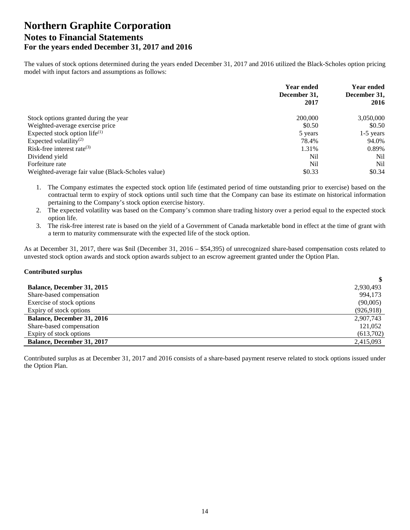The values of stock options determined during the years ended December 31, 2017 and 2016 utilized the Black-Scholes option pricing model with input factors and assumptions as follows:

|                                                   | Year ended<br>December 31, | <b>Year ended</b><br>December 31, |  |
|---------------------------------------------------|----------------------------|-----------------------------------|--|
|                                                   | 2017                       | 2016                              |  |
| Stock options granted during the year             | 200,000                    | 3,050,000                         |  |
| Weighted-average exercise price                   | \$0.50                     | \$0.50                            |  |
| Expected stock option life $^{(1)}$               | 5 years                    | $1-5$ years                       |  |
| Expected volatility <sup>(2)</sup>                | 78.4%                      | 94.0%                             |  |
| Risk-free interest rate <sup>(3)</sup>            | 1.31%                      | 0.89%                             |  |
| Dividend yield                                    | Nil                        | Nil                               |  |
| Forfeiture rate                                   | Nil                        | Nil                               |  |
| Weighted-average fair value (Black-Scholes value) | \$0.33                     | \$0.34                            |  |

1. The Company estimates the expected stock option life (estimated period of time outstanding prior to exercise) based on the contractual term to expiry of stock options until such time that the Company can base its estimate on historical information pertaining to the Company's stock option exercise history.

- 2. The expected volatility was based on the Company's common share trading history over a period equal to the expected stock option life.
- 3. The risk-free interest rate is based on the yield of a Government of Canada marketable bond in effect at the time of grant with a term to maturity commensurate with the expected life of the stock option.

**\$**

As at December 31, 2017, there was \$nil (December 31, 2016 – \$54,395) of unrecognized share-based compensation costs related to unvested stock option awards and stock option awards subject to an escrow agreement granted under the Option Plan.

#### **Contributed surplus**

| 2,930,493  |
|------------|
| 994.173    |
| (90,005)   |
| (926, 918) |
| 2,907,743  |
| 121,052    |
| (613,702)  |
| 2,415,093  |
|            |

Contributed surplus as at December 31, 2017 and 2016 consists of a share-based payment reserve related to stock options issued under the Option Plan.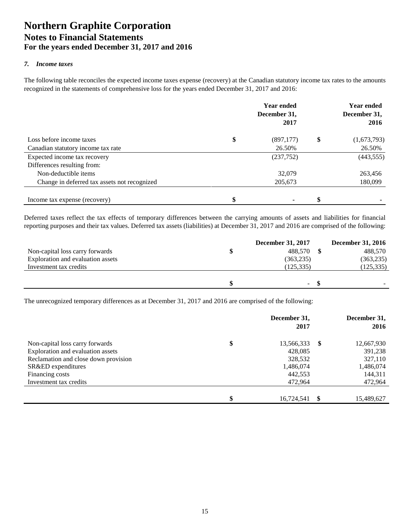## *7. Income taxes*

The following table reconciles the expected income taxes expense (recovery) at the Canadian statutory income tax rates to the amounts recognized in the statements of comprehensive loss for the years ended December 31, 2017 and 2016:

|                                              | <b>Year ended</b><br>December 31,<br>2017 | <b>Year ended</b><br>December 31,<br>2016 |
|----------------------------------------------|-------------------------------------------|-------------------------------------------|
| Loss before income taxes                     | \$<br>(897,177)                           | \$<br>(1,673,793)                         |
| Canadian statutory income tax rate           | 26.50%                                    | 26.50%                                    |
| Expected income tax recovery                 | (237,752)                                 | (443, 555)                                |
| Differences resulting from:                  |                                           |                                           |
| Non-deductible items                         | 32,079                                    | 263,456                                   |
| Change in deferred tax assets not recognized | 205,673                                   | 180,099                                   |
|                                              |                                           |                                           |
| Income tax expense (recovery)                | \$                                        | \$                                        |

Deferred taxes reflect the tax effects of temporary differences between the carrying amounts of assets and liabilities for financial reporting purposes and their tax values. Deferred tax assets (liabilities) at December 31, 2017 and 2016 are comprised of the following:

|                                   |   | <b>December 31, 2017</b> | <b>December 31, 2016</b> |
|-----------------------------------|---|--------------------------|--------------------------|
| Non-capital loss carry forwards   | S | 488.570                  | 488.570                  |
| Exploration and evaluation assets |   | (363, 235)               | (363, 235)               |
| Investment tax credits            |   | (125, 335)               | (125, 335)               |
|                                   |   |                          |                          |
|                                   |   | $\sim$                   |                          |

The unrecognized temporary differences as at December 31, 2017 and 2016 are comprised of the following:

|                                      | December 31,<br>2017 |      | December 31,<br>2016 |
|--------------------------------------|----------------------|------|----------------------|
| Non-capital loss carry forwards      | \$<br>13,566,333     | - \$ | 12,667,930           |
| Exploration and evaluation assets    | 428,085              |      | 391,238              |
| Reclamation and close down provision | 328,532              |      | 327,110              |
| SR&ED expenditures                   | 1,486,074            |      | 1,486,074            |
| Financing costs                      | 442,553              |      | 144,311              |
| Investment tax credits               | 472,964              |      | 472,964              |
|                                      |                      |      |                      |
|                                      | \$<br>16,724,541     | -S   | 15,489,627           |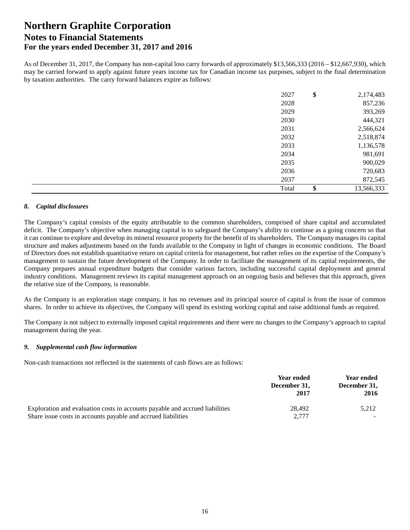As of December 31, 2017, the Company has non-capital loss carry forwards of approximately \$13,566,333 (2016 – \$12,667,930), which may be carried forward to apply against future years income tax for Canadian income tax purposes, subject to the final determination by taxation authorities. The carry forward balances expire as follows:

| 2027  | \$<br>2,174,483  |
|-------|------------------|
| 2028  | 857,236          |
| 2029  | 393,269          |
| 2030  | 444,321          |
| 2031  | 2,566,624        |
| 2032  | 2,518,874        |
| 2033  | 1,136,578        |
| 2034  | 981,691          |
| 2035  | 900,029          |
| 2036  | 720,683          |
| 2037  | 872,545          |
| Total | \$<br>13,566,333 |

## *8. Capital disclosures*

The Company's capital consists of the equity attributable to the common shareholders, comprised of share capital and accumulated deficit. The Company's objective when managing capital is to safeguard the Company's ability to continue as a going concern so that it can continue to explore and develop its mineral resource property for the benefit of its shareholders. The Company manages its capital structure and makes adjustments based on the funds available to the Company in light of changes in economic conditions. The Board of Directors does not establish quantitative return on capital criteria for management, but rather relies on the expertise of the Company's management to sustain the future development of the Company. In order to facilitate the management of its capital requirements, the Company prepares annual expenditure budgets that consider various factors, including successful capital deployment and general industry conditions. Management reviews its capital management approach on an ongoing basis and believes that this approach, given the relative size of the Company, is reasonable.

As the Company is an exploration stage company, it has no revenues and its principal source of capital is from the issue of common shares. In order to achieve its objectives, the Company will spend its existing working capital and raise additional funds as required.

The Company is not subject to externally imposed capital requirements and there were no changes to the Company's approach to capital management during the year.

#### *9. Supplemental cash flow information*

Non-cash transactions not reflected in the statements of cash flows are as follows:

|                                                                              | <b>Year ended</b><br>December 31,<br>2017 | Year ended<br>December 31,<br>2016 |
|------------------------------------------------------------------------------|-------------------------------------------|------------------------------------|
| Exploration and evaluation costs in accounts payable and accrued liabilities | 28.492                                    | 5.212                              |
| Share issue costs in accounts payable and accrued liabilities                | 2,777                                     |                                    |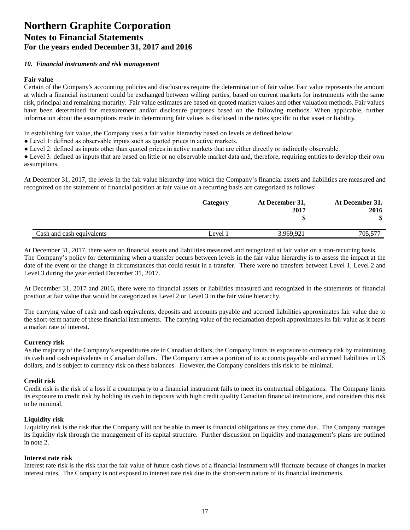### *10. Financial instruments and risk management*

#### **Fair value**

Certain of the Company's accounting policies and disclosures require the determination of fair value. Fair value represents the amount at which a financial instrument could be exchanged between willing parties, based on current markets for instruments with the same risk, principal and remaining maturity. Fair value estimates are based on quoted market values and other valuation methods. Fair values have been determined for measurement and/or disclosure purposes based on the following methods. When applicable, further information about the assumptions made in determining fair values is disclosed in the notes specific to that asset or liability.

In establishing fair value, the Company uses a fair value hierarchy based on levels as defined below:

- Level 1: defined as observable inputs such as quoted prices in active markets.
- Level 2: defined as inputs other than quoted prices in active markets that are either directly or indirectly observable.

● Level 3: defined as inputs that are based on little or no observable market data and, therefore, requiring entities to develop their own assumptions.

At December 31, 2017, the levels in the fair value hierarchy into which the Company's financial assets and liabilities are measured and recognized on the statement of financial position at fair value on a recurring basis are categorized as follows:

|                           | Category | At December 31,<br>2017 | At December 31,<br>2016<br>\$ |
|---------------------------|----------|-------------------------|-------------------------------|
| Cash and cash equivalents | Level 1  | 3.969.921               | 705,577                       |

At December 31, 2017, there were no financial assets and liabilities measured and recognized at fair value on a non-recurring basis. The Company's policy for determining when a transfer occurs between levels in the fair value hierarchy is to assess the impact at the date of the event or the change in circumstances that could result in a transfer. There were no transfers between Level 1, Level 2 and Level 3 during the year ended December 31, 2017.

At December 31, 2017 and 2016, there were no financial assets or liabilities measured and recognized in the statements of financial position at fair value that would be categorized as Level 2 or Level 3 in the fair value hierarchy.

The carrying value of cash and cash equivalents, deposits and accounts payable and accrued liabilities approximates fair value due to the short-term nature of these financial instruments. The carrying value of the reclamation deposit approximates its fair value as it bears a market rate of interest.

## **Currency risk**

As the majority of the Company's expenditures are in Canadian dollars, the Company limits its exposure to currency risk by maintaining its cash and cash equivalents in Canadian dollars. The Company carries a portion of its accounts payable and accrued liabilities in US dollars, and is subject to currency risk on these balances. However, the Company considers this risk to be minimal.

#### **Credit risk**

Credit risk is the risk of a loss if a counterparty to a financial instrument fails to meet its contractual obligations. The Company limits its exposure to credit risk by holding its cash in deposits with high credit quality Canadian financial institutions, and considers this risk to be minimal.

#### **Liquidity risk**

Liquidity risk is the risk that the Company will not be able to meet is financial obligations as they come due. The Company manages its liquidity risk through the management of its capital structure. Further discussion on liquidity and management's plans are outlined in note 2.

#### **Interest rate risk**

Interest rate risk is the risk that the fair value of future cash flows of a financial instrument will fluctuate because of changes in market interest rates. The Company is not exposed to interest rate risk due to the short-term nature of its financial instruments.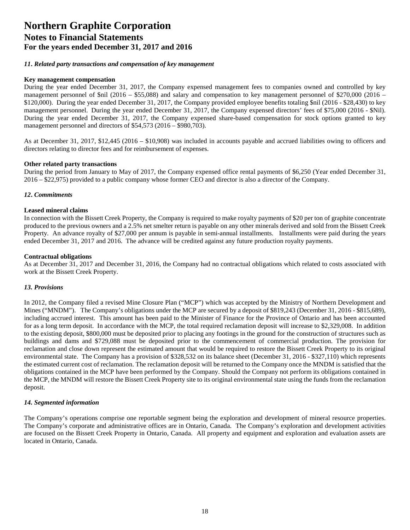### *11***.** *Related party transactions and compensation of key management*

#### **Key management compensation**

During the year ended December 31, 2017, the Company expensed management fees to companies owned and controlled by key management personnel of \$nil (2016 – \$55,088) and salary and compensation to key management personnel of \$270,000 (2016 – \$120,000). During the year ended December 31, 2017, the Company provided employee benefits totaling \$nil (2016 - \$28,430) to key management personnel. During the year ended December 31, 2017, the Company expensed directors' fees of \$75,000 (2016 - \$Nil). During the year ended December 31, 2017, the Company expensed share-based compensation for stock options granted to key management personnel and directors of \$54,573 (2016 – \$980,703).

As at December 31, 2017, \$12,445 (2016 – \$10,908) was included in accounts payable and accrued liabilities owing to officers and directors relating to director fees and for reimbursement of expenses.

### **Other related party transactions**

During the period from January to May of 2017, the Company expensed office rental payments of \$6,250 (Year ended December 31, 2016 – \$22,975) provided to a public company whose former CEO and director is also a director of the Company.

### *12***.** *Commitments*

### **Leased mineral claims**

In connection with the Bissett Creek Property, the Company is required to make royalty payments of \$20 per ton of graphite concentrate produced to the previous owners and a 2.5% net smelter return is payable on any other minerals derived and sold from the Bissett Creek Property. An advance royalty of \$27,000 per annum is payable in semi-annual installments. Installments were paid during the years ended December 31, 2017 and 2016. The advance will be credited against any future production royalty payments.

#### **Contractual obligations**

As at December 31, 2017 and December 31, 2016, the Company had no contractual obligations which related to costs associated with work at the Bissett Creek Property.

## *13. Provisions*

In 2012, the Company filed a revised Mine Closure Plan ("MCP") which was accepted by the Ministry of Northern Development and Mines ("MNDM"). The Company's obligations under the MCP are secured by a deposit of \$819,243 (December 31, 2016 - \$815,689), including accrued interest. This amount has been paid to the Minister of Finance for the Province of Ontario and has been accounted for as a long term deposit. In accordance with the MCP, the total required reclamation deposit will increase to \$2,329,008. In addition to the existing deposit, \$800,000 must be deposited prior to placing any footings in the ground for the construction of structures such as buildings and dams and \$729,088 must be deposited prior to the commencement of commercial production. The provision for reclamation and close down represent the estimated amount that would be required to restore the Bissett Creek Property to its original environmental state. The Company has a provision of \$328,532 on its balance sheet (December 31, 2016 - \$327,110) which represents the estimated current cost of reclamation. The reclamation deposit will be returned to the Company once the MNDM is satisfied that the obligations contained in the MCP have been performed by the Company. Should the Company not perform its obligations contained in the MCP, the MNDM will restore the Bissett Creek Property site to its original environmental state using the funds from the reclamation deposit.

## *14. Segmented information*

The Company's operations comprise one reportable segment being the exploration and development of mineral resource properties. The Company's corporate and administrative offices are in Ontario, Canada. The Company's exploration and development activities are focused on the Bissett Creek Property in Ontario, Canada. All property and equipment and exploration and evaluation assets are located in Ontario, Canada.